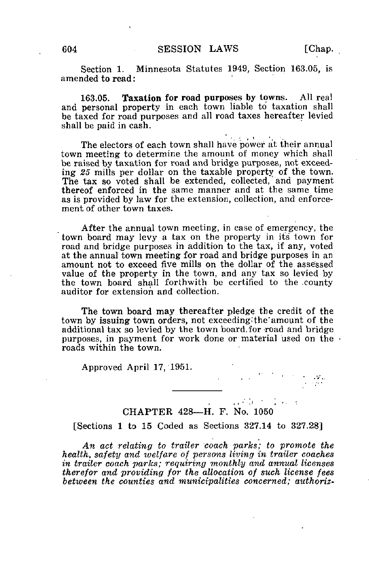Section 1. Minnesota Statutes 1949, Section 163.05, is amended to read:

163.05. Taxation for road purposes by towns. All real and personal property in each town liable to taxation shall be taxed for road purposes and all road taxes hereafter levied shall be paid in cash.

The electors of each town shall have power at their annual town meeting to determine the amount of money which shall be raised by taxation for road and bridge purposes, not exceeding 25 mills per dollar on the taxable property of the town. The tax so voted shall be extended, collected, and payment thereof enforced in the same manner and at the same time as is provided by law for the extension, collection, and enforcement of other town taxes.

After the annual town meeting, in case of emergency, the town board may levy a tax on the property in its' town for road and bridge purposes in addition to the tax, if any, voted at the annual town meeting for road and bridge purposes in an amount not to exceed five mills on the dollar of the assessed value of the property in the town, and any tax so levied by the town board shall forthwith be certified to the .county auditor for extension and collection.

The town board may thereafter pledge the credit of the town by issuing town orders, not exceeding-'the'amount of the additional tax so levied by the town board, for road and bridge purposes, in payment for work done or material used on the  $\cdot$ roads within the town.

Approved April 17, 1951.

## $\mathcal{L}^{\text{max}}_{\text{max}}$  and  $\mathcal{L}^{\text{max}}_{\text{max}}$ CHAPTER 428—H. F. No. 1050

[Sections 1 to 15 Coded as Sections 327.14 to 327.28]

An act relating to trailer coach parks; to promote the health, safety and welfare of persons living in trailer coaches in trailer coach parks; requiring monthly and annual licenses therefor and providing for the allocation of such license fees between the counties and municipalities concerned; authoriz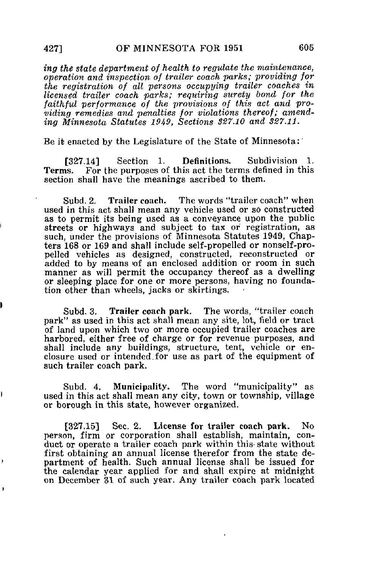ing the state department of health to regulate the maintenance, operation and inspection of trailer coach parks; providing for the registration of all persons occupying trailer coaches in licensed trailer coach parks; requiring surety bond for the faithful performance of the provisions of this act and providing remedies and penalties for violations thereof; amending Minnesota Statutes 1940, Sections 327.10 and 327.11.

Be it enacted by the Legislature of the State of Minnesota:

[327.14] Section 1. **Definitions.** Subdivision 1.<br>**Terms.** For the purposes of this act the terms defined in this For the purposes of this act the terms defined in this section shall have the meanings ascribed to them.

Subd. 2. Trailer coach. The words "trailer coach" when used in this act shall mean any vehicle used or so constructed as to permit its being used as a conveyance upon the public streets or highways and subject to tax or registration, as such, under the provisions of Minnesota Statutes 1949, Chapters 168 or 169 and shall include self-propelled or nonself-propelled vehicles as designed, constructed, reconstructed or added to by means of an enclosed addition or room in such manner as will permit the occupancy thereof as a dwelling or sleeping place for one or more persons, having no foundation other than wheels, jacks or skirtings.

Subd. 3. Trailer coach park. The words, "trailer coach park" as used in this act shall mean any site, lot, field or tract of land upon which two or more occupied trailer coaches are harbored, either free of charge or for revenue purposes, and shall include any buildings, structure, tent, vehicle or enclosure used or intended.for use as part of the equipment of such trailer coach park.

Subd. 4. Municipality. The word "municipality" as used in this act shall mean any city, town or township, village or borough in this state, however organized.

[327.15] Sec. 2. License for trailer coach park. No person, firm or corporation shall establish, maintain, conduct or operate a trailer coach park within this- state without first obtaining an annual license therefor from the state department of health. Such annual license shall be issued for the calendar year applied for and shall expire at midnight on December 31 of such year. Any trailer coach park located

 $\mathbf{r}$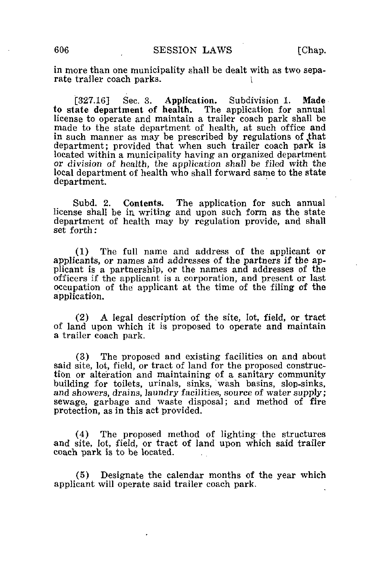in more than one municipality shall be dealt with as two separate trailer coach parks.

[327.16] Sec. 3. Application. Subdivision 1. Made to state department of health. The application for annual license to operate and maintain a trailer coach park shall be made to the state department of health, at such office and in such manner as may be prescribed by regulations of that department; provided that when such trailer coach park is located within a municipality having an organized department or division of health, the application shall be filed with the local department of health who shall forward same to the state department.

Subd. 2. Contents. The application for such annual license shall be in writing and upon such form as the state department of health may by regulation provide, and shall set forth :

(1) The full name and address of the applicant or applicants, or names and addresses of the partners if the applicant is a partnership, or the names and addresses of the officers if the applicant is a corporation, and present or last occupation of the applicant at the time of the filing of the application.

(2) A legal description of the site, lot, field, or tract of land upon which it is proposed to operate and maintain a trailer coach park.

(3) The proposed and existing facilities on and about said site, lot, field, or tract of land for the proposed construction or alteration and maintaining of a sanitary community building for toilets, urinals, sinks, wash basins, slop-sinks, and showers, drains, laundry facilities, source of water supply; sewage, garbage and waste disposal; and method of fire protection, as in this act provided.

(4) The proposed method of lighting the structures and site, lot, field, or tract of land upon which said trailer coach park is to be located.

(5) Designate the calendar months of the year which applicant will operate said trailer coach park.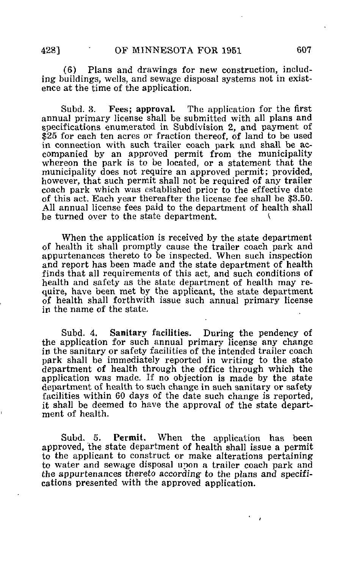(6) Plans and drawings for new construction, including buildings, wells, and sewage disposal systems not in existence at the time of the application.

Subd. 3. Fees; approval. The application for the first annual primary license shall be submitted with all plans and specifications enumerated in Subdivision 2, and payment of \$25 for each ten acres or fraction thereof, of land to be used in connection with such trailer coach park and shall be accompanied by an approved permit from the municipality whereon the park is to be located, or a statement that the municipality does not require an approved permit; provided, however, that such permit shall not be required of any trailer coach park which was established prior to the effective date of this act. Each year thereafter the license fee shall be \$3.50. All annual license fees paid to the department of health shall be turned over to the state department.

When the application is received by the state department of health it shall promptly cause the trailer coach park and appurtenances thereto to be inspected. When such inspection and report has been made and the state department of health finds that all requirements of this act, and such conditions of health and safety as the state department of health may require, have been met by the applicant, the state department of health shall forthwith issue such annual primary license in the name of the state.

Subd. 4. Sanitary facilities. During the pendency of the application for such annual primary license any change in the sanitary or safety facilities of the intended trailer coach park shall be immediately reported in writing to the state department of health through the office through which the application was made. If no objection is made by the state department of health to such change in such sanitary or safety facilities within 60 days of the date such change is reported, it shall be deemed to have the approval of the state department of health.

Subd. 5. Permit. When the application has been approved, the state department of health shall issue a permit to the applicant to construct or make alterations pertaining to water and sewage disposal upon a trailer coach park and the appurtenances thereto according to the plans and specifications presented with the approved application.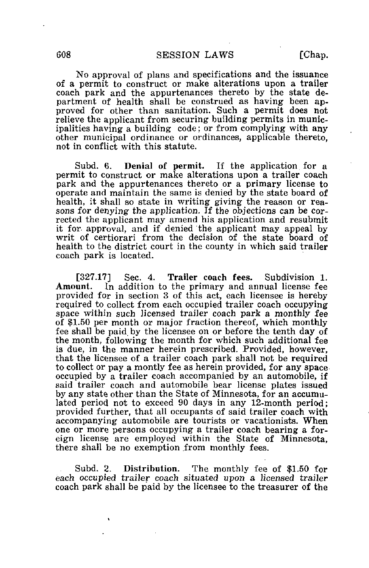No approval of plans and specifications and the issuance of a permit to construct or make alterations upon a trailer coach park and the appurtenances thereto by the state department of health shall be construed as having been approved for other than sanitation. Such a permit does not relieve the applicant from securing building permits in municipalities having a building code; or from complying with any other municipal ordinance or ordinances, applicable thereto, not in conflict with this statute.

Subd. 6. Denial of permit. If the application for a permit to construct or make alterations upon a trailer coach park and the appurtenances thereto or a primary license to operate and maintain the same is denied by the state board of health, it shall so state in writing giving the reason or reasons for denying the application. If the objections can be corrected the applicant may amend his application and resubmit it for. approval, and if denied the applicant may appeal by writ of certiorari from the decision of the state board of health to the district court in the county in which said trailer coach park is located.

[327.17] Sec. 4. Trailer coach fees. Subdivision 1. Amount. In addition to the primary and annual license fee provided for in section 3 of this act, each licensee is hereby required to collect from each occupied trailer coach occupying space within such licensed trailer coach park a monthly fee of \$1.50 per month or major fraction thereof, which monthly fee shall be paid, by the licensee on or before the tenth day of the month, following the month for which such additional fee is due, in the manner herein prescribed. Provided, however, that the licensee of a trailer coach park shall not be required to collect or pay a montly fee as herein provided, for any space occupied by a trailer coach accompanied by an automobile, if said trailer coach and automobile bear license plates issued by any state other than the State of Minnesota, for an accumulated period not to exceed 90 days in any 12-month period; provided further, that all occupants of said trailer coach with accompanying automobile are tourists or vacationists. When one or more persons occupying a trailer coach bearing a foreign license are employed within the State of Minnesota, there shall be no exemption from monthly fees.

Subd. 2. Distribution. The monthly fee of \$1.50 for each occupied trailer coach situated upon a licensed trailer coach park shall be paid by the licensee to the treasurer of the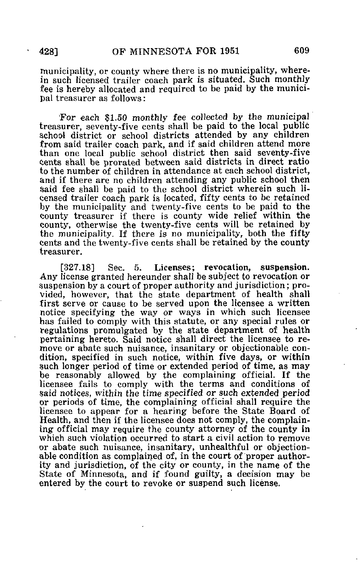municipality, or county where there is no municipality, wherein such licensed trailer coach park is situated. Such monthly fee is hereby allocated and required to be paid by the municipal treasurer as follows:

For each \$1.50 monthly fee collected by the municipal treasurer, seventy-five cents shall be paid to the local public school district or school districts attended by any children from said trailer coach park, and if said children attend more than one local public school district then said seventy-five Cents shall be prorated between said districts in direct ratio to the number of children in attendance at each school district, and if there are no children attending any public school then said fee shall be paid to the school district wherein such licensed trailer coach park is located, fifty cents to be retained by the municipality and twenty-five cents to be paid to the county treasurer if there is county wide relief within the county, otherwise the twenty-five cents will be retained by the municipality. If there is no municipality, both the fifty cents and the twenty-five cents shall be retained by the county treasurer.

[327.18] Sec. 5. Licenses; revocation, suspension. Any license granted hereunder shall be subject to revocation or Suspension by a court of proper authority and jurisdiction; provided, however, that the state department of health shall first serve or cause to be served upon the licensee a written notice specifying the way or ways in which such licensee has failed to comply with this statute, or any special rules or regulations promulgated by the state department of health pertaining hereto. Said notice shall direct the licensee to remove or abate such nuisance, insanitary or objectionable condition, specified in such notice, within five days, or within such longer period of time or extended period of time, as may be reasonably allowed by the complaining official. If the licensee fails to comply with the terms and conditions of said notices, within the time specified or such extended period or periods of time, the complaining official shall require the licensee to appear for a hearing before the State Board of Health, and then if the licensee does not comply, the complaining official may require the county attorney of the county in which such violation occurred to start a civil action to remove or abate such nuisance, insanitary, unhealthful or objectionable condition as complained of, in the court of'proper authority and jurisdiction, of the city or county, in the name of the State of Minnesota, and if found guilty, a decision may be entered by the court to revoke or suspend such license.

 $\ddot{\phantom{0}}$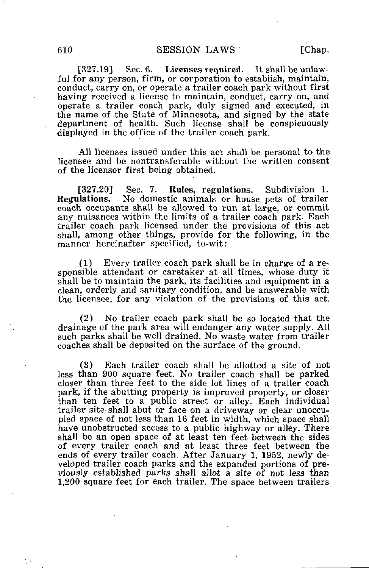[327.19] Sec. 6. Licenses required. It shall be unlawful for any person, firm, or corporation to establish, maintain, conduct, carry on, or operate a trailer coach park without first having received a license to maintain, conduct, carry on, and operate a trailer coach park, duly signed and executed, in the name of the State of Minnesota, and signed by the state department of health. Such license shall be conspicuously displayed in the office of the trailer coach park.

All licenses issued under this act shall be personal to the licensee and be nontransferable without the written consent of the licensor first being obtained.

[327.20] Sec. 7. Rules, regulations. Subdivision 1. Regulations. No domestic animals or house pets of trailer coach occupants shall be allowed to run at large, or commit any nuisances within the limits of a trailer coach park. Each trailer coach park licensed under the provisions of this act shall, among other things, provide for the following, in the manner hereinafter specified, to-wit:

(1) Every trailer coach park shall be in charge of a responsible attendant or caretaker at all times, whose duty it shall be to maintain the park, its facilities and equipment in a clean, orderly and sanitary condition, and be answerable with the licensee, for any violation of the provisions of this act.

(2) No trailer coach park shall be so located that the drainage of the park area will endanger any water supply. All such parks shall be well drained. No waste water from trailer coaches shall be deposited on the surface of the ground.

(3) Each trailer coach shall be allotted a site of not less than 900 square feet. No trailer coach shall be parked closer than three feet to the side lot lines of a trailer coach park, if the abutting property is improved property, or closer than ten feet to a public street or alley. Each individual trailer site shall abut or face on a driveway or clear unoccupied space of not less than 16 feet in width, which space shall have unobstructed access to a public highway or alley. There shall be an open space of at least ten feet between the sides of every trailer coach and at least three feet between the ends of every trailer coach. After January 1, 1952, newly developed trailer coach parks and the expanded portions of previously established parks shall allot a site of not less than 1,200 square feet for each trailer. The space between trailers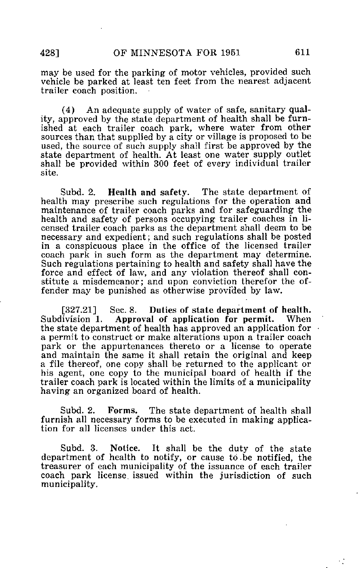may be used for the parking of motor vehicles, provided such vehicle be parked at least ten feet from the nearest adjacent trailer coach position.

(4) An adequate supply of water of safe, sanitary quality, approved by the state department of health shall be furnished at each trailer coach park, where water from other sources than that supplied by a city or village is proposed to be used, the source of such supply shall first be approved by the state department of health. At least one water supply outlet shall be provided within 300 feet of every individual trailer site.

Subd. 2. Health and safety. The state department of health may prescribe such regulations for the operation and maintenance of trailer coach parks and for safeguarding the health and safety of persons occupying trailer coaches in licensed trailer coach parks as the department shall deem to be necessary and expedient; and such regulations shall be posted in a conspicuous place in the office of the licensed trailer coach park in such form as the department may determine. Such regulations pertaining to health and safety shall have the force and effect of law, and any violation thereof shall constitute a misdemeanor; and upon conviction therefor the offender may be punished as otherwise provided by law.

[327.21] Sec. 8. Duties of state department of health.<br>Subdivision 1. Approval of application for permit. When Approval of application for permit. the state department of health has approved an application for  $\cdot$ a permit to construct or make alterations upon a trailer coach park or the appurtenances thereto or a license to operate and maintain the same it shall retain the original and keep a file thereof, one copy shall be returned to the applicant or his agent, one copy to the municipal board of health if the trailer coach park is located within the limits of a municipality having an organized board of health.

Subd. 2. Forms. The state department of health shall furnish all necessary forms to be executed in making application for all licenses under this act.

Subd. 3. Notice. It shall be the duty of the state department of health to notify, or cause to.be notified, the treasurer of each municipality of the issuance of each trailer coach park license, issued within the jurisdiction of such municipality.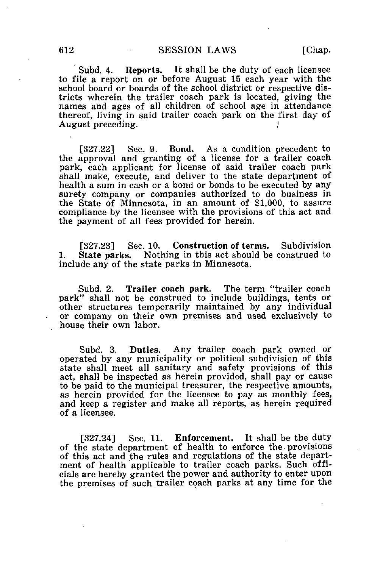Subd. 4. Reports. It shall be the duty of each licensee to file a report on or before August 15 each year with the school board or boards of the school district or respective districts wherein the trailer coach park is located, giving the names and ages of all children of school age in attendance thereof, living in said trailer coach park on the first day of  $\Delta$ ugust preceding August preceding. }

[327.22] Sec. 9. Bond. As a condition precedent to the approval and granting of a license for a trailer coach park, each applicant for license of said trailer coach park shall make, execute, and deliver to the state department of health a sum in cash or a bond or bonds to be executed by any surety company or companies authorized to do business in the State of Minnesota, in an amount of \$1,000, to assure compliance by the licensee with the provisions of this act and the payment of all fees provided for herein.

[327.23] Sec. 10. Construction of terms. Subdivision 1. State parks. Nothing in this act should be construed to include any of the state parks in Minnesota.

Subd. 2. Trailer coach park. The term "trailer coach park" shall not be construed to include buildings, tents or other structures temporarily maintained by any individual or company on their own premises and used exclusively to house their own labor.

Subd. 3. Duties. Any trailer coach park owned or operated by any municipality or political subdivision of this state shall meet all sanitary and safety provisions of this act, shall be inspected as herein provided, shall pay or cause to be paid to the municipal treasurer, the respective amounts, as herein provided for the licensee to pay as monthly fees, and keep a register and make all reports, as herein required of a licensee.

[327.24] Sec. 11. Enforcement. It shall be the duty of the state department of health to enforce the-provisions of this act and the rules and regulations of the state department of health applicable to trailer coach parks. Such officials are hereby granted the power and authority to enter upon the premises of such trailer coach parks "at any time for the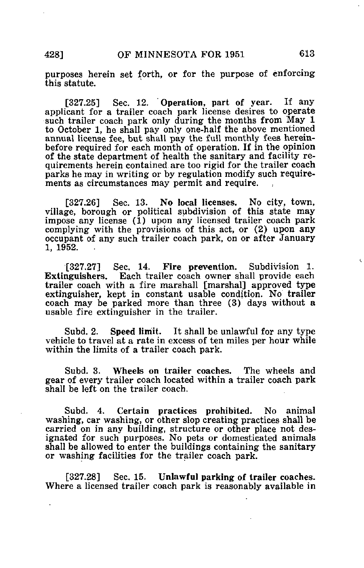purposes herein set forth, or for the purpose of enforcing this statute.

[327.25] Sec. 12. Operation, part of year. If any applicant for a trailer coach park license desires to operate such trailer coach park only during the months from May 1 to October 1, he shall pay only one-half the above mentioned annual license fee, but shall pay the full monthly fees hereinbefore required for each month of operation. If in the opinion of the state department of health the sanitary and facility requirements herein contained are too rigid for the trailer coach parks he may in writing or by regulation modify such requirements as circumstances may permit and require.

[327.26] Sec. 13. No local licenses. No city, town, village, borough or political subdivision of this state may impose any license (1) upon any licensed trailer coach park complying with the provisions of this act, or (2) upon any occupant of any such trailer coach park, on or after January  $1, 1952.$ 

[327.27] Sec. 14. Fire prevention. Subdivision 1. Extinguishers. Each trailer coach owner shall provide each trailer coach with a fire marshall [marshal] approved type extinguisher, kept in constant usable condition. No trailer coach may be parked more than three (3) days without a usable fire extinguisher in the trailer.

Subd. 2. Speed limit. It shall be unlawful for any type vehicle to travel at a rate in excess of ten miles per hour while within the limits of a trailer coach park.

Subd. 3. Wheels on trailer coaches. The wheels and gear of every trailer coach located within a trailer coach park shall be left on the trailer coach.

Subd. 4. Certain practices prohibited. No animal washing, car washing, or other slop creating practices shall be carried on in any building, structure or other place not designated for such purposes. No pets or domesticated animals shall be allowed to enter the buildings containing the sanitary or washing facilities for the trailer coach park.

[327.28] Sec. 15. Unlawful parking of trailer coaches. Where a licensed trailer coach park is reasonably available in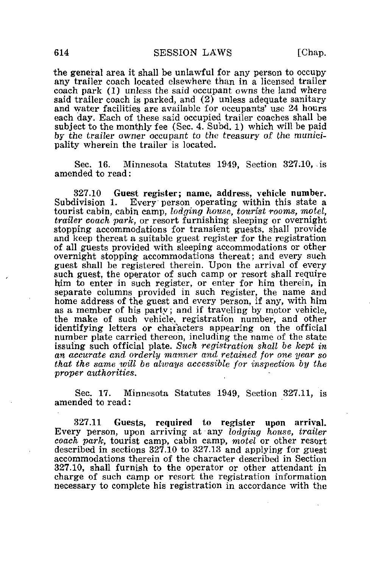the general area it shall be unlawful for any person to occupy any trailer coach located elsewhere than in a licensed trailer coach park (1) unless the said occupant owns the land where said trailer coach is parked, and (2) unless adequate sanitary and water facilities are available for occupants' use 24 hours each day. Each of these said occupied trailer coaches shall be subject to the monthly fee (Sec. 4. Subd. 1) which will be paid by the trailer owner occupant to the treasury of the municipality wherein the trailer is located.

Sec. 16. Minnesota Statutes 1949, Section 327.10, is amended to read:

327.10 Guest register; name, address, vehicle number. Every person operating within this state a tourist cabin, cabin camp, lodging house, tourist rooms, motel, trailer coach park, or resort furnishing sleeping or overnight stopping accommodations for transient guests, shall provide and keep thereat a suitable guest register for the registration of all guests provided with sleeping accommodations or other overnight stopping accommodations thereat; and every such guest shall be registered therein. Upon the arrival of every such guest, the operator of such camp or resort shall require him to enter in such register, or enter for him therein, in separate columns provided in such register, the name and home address of the guest and every person, if any, with him as a member of his party; and if traveling by motor vehicle, the make of such vehicle, registration number, and other identifying letters or characters appearing on the official number plate carried thereon, including the name of the state issuing such official plate. Such registration shall be kept in an accurate and orderly manner and retained for one year so that the same will be always accessible for inspection by the proper authorities.

Sec. 17. Minnesota Statutes 1949, Section 327.11, is amended to read:

327.11 Guests, required to register upon arrival. Every person, upon arriving at any lodging house, trailer coach park, tourist camp, cabin camp, motel or other resort described in sections 327.10 to 327.13 and applying for guest accommodations therein of the character described in Section 327.10, shall furnish to the operator or other attendant in charge of such camp or resort the registration information necessary to complete his registration in accordance with the